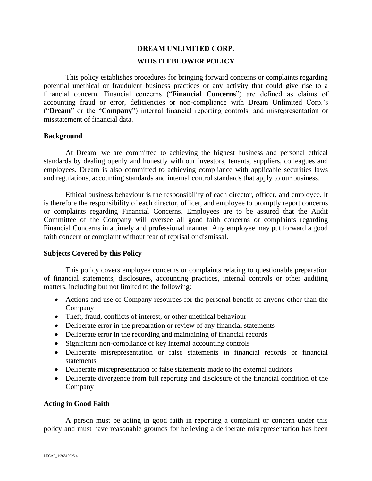# **DREAM UNLIMITED CORP. WHISTLEBLOWER POLICY**

This policy establishes procedures for bringing forward concerns or complaints regarding potential unethical or fraudulent business practices or any activity that could give rise to a financial concern. Financial concerns ("**Financial Concerns**") are defined as claims of accounting fraud or error, deficiencies or non-compliance with Dream Unlimited Corp.'s ("**Dream**" or the "**Company**") internal financial reporting controls, and misrepresentation or misstatement of financial data.

# **Background**

At Dream, we are committed to achieving the highest business and personal ethical standards by dealing openly and honestly with our investors, tenants, suppliers, colleagues and employees. Dream is also committed to achieving compliance with applicable securities laws and regulations, accounting standards and internal control standards that apply to our business.

Ethical business behaviour is the responsibility of each director, officer, and employee. It is therefore the responsibility of each director, officer, and employee to promptly report concerns or complaints regarding Financial Concerns. Employees are to be assured that the Audit Committee of the Company will oversee all good faith concerns or complaints regarding Financial Concerns in a timely and professional manner. Any employee may put forward a good faith concern or complaint without fear of reprisal or dismissal.

# **Subjects Covered by this Policy**

This policy covers employee concerns or complaints relating to questionable preparation of financial statements, disclosures, accounting practices, internal controls or other auditing matters, including but not limited to the following:

- Actions and use of Company resources for the personal benefit of anyone other than the Company
- Theft, fraud, conflicts of interest, or other unethical behaviour
- Deliberate error in the preparation or review of any financial statements
- Deliberate error in the recording and maintaining of financial records
- Significant non-compliance of key internal accounting controls
- Deliberate misrepresentation or false statements in financial records or financial statements
- Deliberate misrepresentation or false statements made to the external auditors
- Deliberate divergence from full reporting and disclosure of the financial condition of the Company

# **Acting in Good Faith**

A person must be acting in good faith in reporting a complaint or concern under this policy and must have reasonable grounds for believing a deliberate misrepresentation has been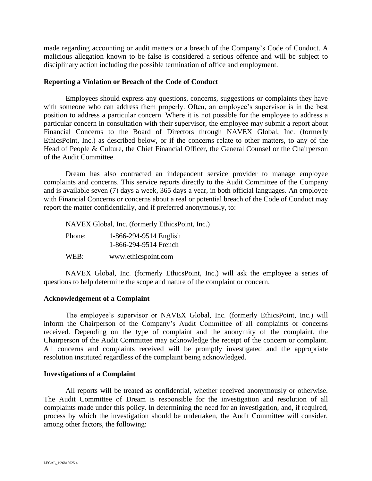made regarding accounting or audit matters or a breach of the Company's Code of Conduct. A malicious allegation known to be false is considered a serious offence and will be subject to disciplinary action including the possible termination of office and employment.

#### **Reporting a Violation or Breach of the Code of Conduct**

Employees should express any questions, concerns, suggestions or complaints they have with someone who can address them properly. Often, an employee's supervisor is in the best position to address a particular concern. Where it is not possible for the employee to address a particular concern in consultation with their supervisor, the employee may submit a report about Financial Concerns to the Board of Directors through NAVEX Global, Inc. (formerly EthicsPoint, Inc.) as described below, or if the concerns relate to other matters, to any of the Head of People & Culture, the Chief Financial Officer, the General Counsel or the Chairperson of the Audit Committee.

Dream has also contracted an independent service provider to manage employee complaints and concerns. This service reports directly to the Audit Committee of the Company and is available seven (7) days a week, 365 days a year, in both official languages. An employee with Financial Concerns or concerns about a real or potential breach of the Code of Conduct may report the matter confidentially, and if preferred anonymously, to:

NAVEX Global, Inc. (formerly EthicsPoint, Inc.)

Phone: 1-866-294-9514 English 1-866-294-9514 French

WEB: www.ethicspoint.com

NAVEX Global, Inc. (formerly EthicsPoint, Inc.) will ask the employee a series of questions to help determine the scope and nature of the complaint or concern.

# **Acknowledgement of a Complaint**

The employee's supervisor or NAVEX Global, Inc. (formerly EthicsPoint, Inc.) will inform the Chairperson of the Company's Audit Committee of all complaints or concerns received. Depending on the type of complaint and the anonymity of the complaint, the Chairperson of the Audit Committee may acknowledge the receipt of the concern or complaint. All concerns and complaints received will be promptly investigated and the appropriate resolution instituted regardless of the complaint being acknowledged.

#### **Investigations of a Complaint**

All reports will be treated as confidential, whether received anonymously or otherwise. The Audit Committee of Dream is responsible for the investigation and resolution of all complaints made under this policy. In determining the need for an investigation, and, if required, process by which the investigation should be undertaken, the Audit Committee will consider, among other factors, the following: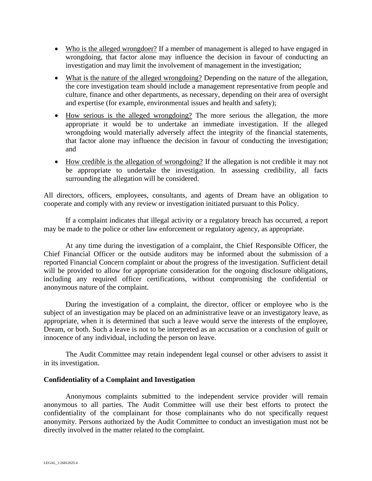- Who is the alleged wrongdoer? If a member of management is alleged to have engaged in wrongdoing, that factor alone may influence the decision in favour of conducting an investigation and may limit the involvement of management in the investigation;
- What is the nature of the alleged wrongdoing? Depending on the nature of the allegation, the core investigation team should include a management representative from people and culture, finance and other departments, as necessary, depending on their area of oversight and expertise (for example, environmental issues and health and safety);
- How serious is the alleged wrongdoing? The more serious the allegation, the more appropriate it would be to undertake an immediate investigation. If the alleged wrongdoing would materially adversely affect the integrity of the financial statements, that factor alone may influence the decision in favour of conducting the investigation; and
- How credible is the allegation of wrongdoing? If the allegation is not credible it may not be appropriate to undertake the investigation. In assessing credibility, all facts surrounding the allegation will be considered.

All directors, officers, employees, consultants, and agents of Dream have an obligation to cooperate and comply with any review or investigation initiated pursuant to this Policy.

If a complaint indicates that illegal activity or a regulatory breach has occurred, a report may be made to the police or other law enforcement or regulatory agency, as appropriate.

At any time during the investigation of a complaint, the Chief Responsible Officer, the Chief Financial Officer or the outside auditors may be informed about the submission of a reported Financial Concern complaint or about the progress of the investigation. Sufficient detail will be provided to allow for appropriate consideration for the ongoing disclosure obligations, including any required officer certifications, without compromising the confidential or anonymous nature of the complaint.

During the investigation of a complaint, the director, officer or employee who is the subject of an investigation may be placed on an administrative leave or an investigatory leave, as appropriate, when it is determined that such a leave would serve the interests of the employee, Dream, or both. Such a leave is not to be interpreted as an accusation or a conclusion of guilt or innocence of any individual, including the person on leave.

The Audit Committee may retain independent legal counsel or other advisers to assist it in its investigation.

# **Confidentiality of a Complaint and Investigation**

Anonymous complaints submitted to the independent service provider will remain anonymous to all parties. The Audit Committee will use their best efforts to protect the confidentiality of the complainant for those complainants who do not specifically request anonymity. Persons authorized by the Audit Committee to conduct an investigation must not be directly involved in the matter related to the complaint.